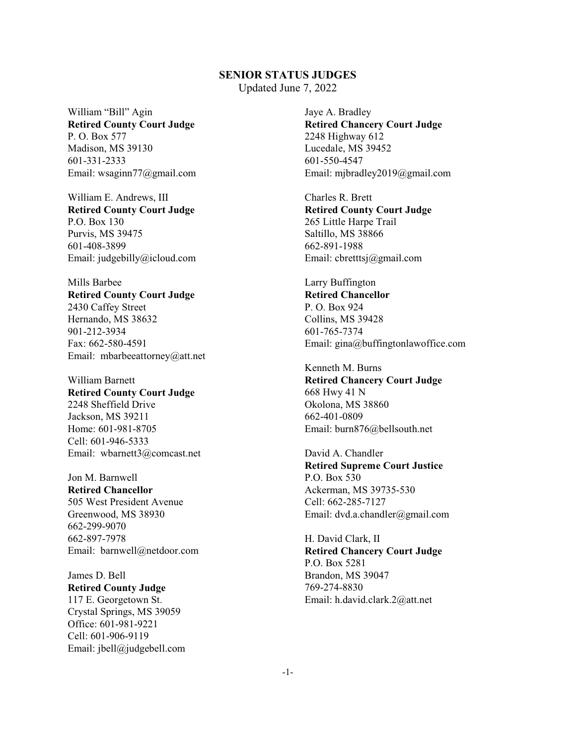Updated June 7, 2022

William "Bill" Agin **Retired County Court Judge** P. O. Box 577 Madison, MS 39130 601-331-2333 Email: wsaginn77@gmail.com

William E. Andrews, III **Retired County Court Judge** P.O. Box 130 Purvis, MS 39475 601-408-3899 Email: judgebilly@icloud.com

Mills Barbee **Retired County Court Judge** 2430 Caffey Street Hernando, MS 38632 901-212-3934 Fax: 662-580-4591 Email: mbarbeeattorney@att.net

William Barnett **Retired County Court Judge** 2248 Sheffield Drive Jackson, MS 39211 Home: 601-981-8705 Cell: 601-946-5333 Email: wbarnett3@comcast.net

Jon M. Barnwell **Retired Chancellor** 505 West President Avenue Greenwood, MS 38930 662-299-9070 662-897-7978 Email: barnwell@netdoor.com

James D. Bell **Retired County Judge** 117 E. Georgetown St. Crystal Springs, MS 39059 Office: 601-981-9221 Cell: 601-906-9119 Email: jbell@judgebell.com

Jaye A. Bradley **Retired Chancery Court Judge** 2248 Highway 612 Lucedale, MS 39452 601-550-4547 Email: mjbradley2019@gmail.com

Charles R. Brett **Retired County Court Judge** 265 Little Harpe Trail Saltillo, MS 38866 662-891-1988 Email: cbretttsj@gmail.com

Larry Buffington **Retired Chancellor** P. O. Box 924 Collins, MS 39428 601-765-7374 Email: gina@buffingtonlawoffice.com

Kenneth M. Burns **Retired Chancery Court Judge** 668 Hwy 41 N Okolona, MS 38860 662-401-0809 Email: burn876@bellsouth.net

David A. Chandler **Retired Supreme Court Justice** P.O. Box 530 Ackerman, MS 39735-530 Cell: 662-285-7127 Email: dvd.a.chandler@gmail.com

H. David Clark, II **Retired Chancery Court Judge** P.O. Box 5281 Brandon, MS 39047 769-274-8830 Email: h.david.clark.2@att.net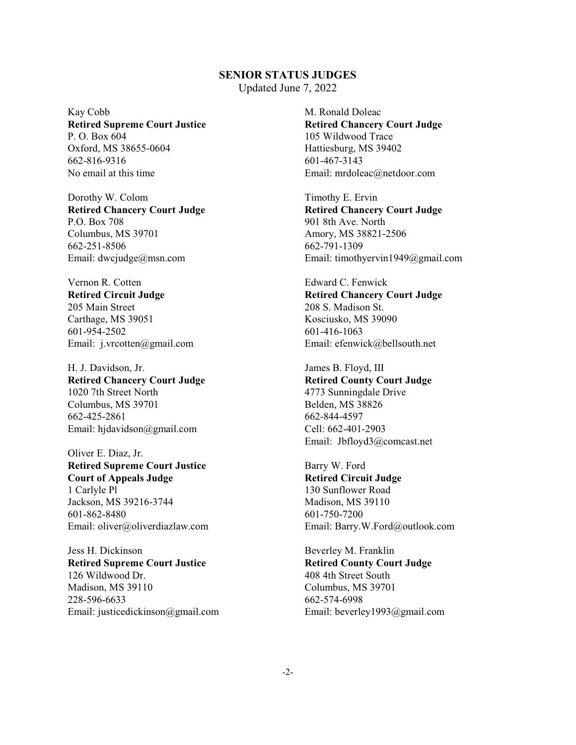Updated June 7, 2022

Kay Cobb **Retired Supreme Court Justice** P. O. Box 604 Oxford, MS 38655-0604 662-816-9316 No email at this time

Dorothy W. Colom **Retired Chancery Court Judge** P.O. Box 708 Columbus, MS 39701 662-251-8506 Email: dwcjudge@msn.com

Vernon R. Cotten **Retired Circuit Judge** 205 Main Street Carthage, MS 39051 601-954-2502 Email: j.vrcotten@gmail.com

H. J. Davidson, Jr. **Retired Chancery Court Judge** 1020 7th Street North Columbus, MS 39701 662-425-2861 Email: hjdavidson@gmail.com

Oliver E. Diaz, Jr. **Retired Supreme Court Justice Court of Appeals Judge** 1 Carlyle Pl Jackson, MS 39216-3744 601-862-8480 Email: oliver@oliverdiazlaw.com

Jess H. Dickinson **Retired Supreme Court Justice** 126 Wildwood Dr. Madison, MS 39110 228-596-6633 Email: justicedickinson@gmail.com M. Ronald Doleac **Retired Chancery Court Judge** 105 Wildwood Trace Hattiesburg, MS 39402 601-467-3143 Email: mrdoleac@netdoor.com

Timothy E. Ervin **Retired Chancery Court Judge** 901 8th Ave. North Amory, MS 38821-2506 662-791-1309 Email: timothyervin1949@gmail.com

Edward C. Fenwick **Retired Chancery Court Judge** 208 S. Madison St. Kosciusko, MS 39090 601-416-1063 Email: efenwick@bellsouth.net

James B. Floyd, III **Retired County Court Judge** 4773 Sunningdale Drive Belden, MS 38826 662-844-4597 Cell: 662-401-2903 Email: Jbfloyd3@comcast.net

Barry W. Ford **Retired Circuit Judge** 130 Sunflower Road Madison, MS 39110 601-750-7200 Email: Barry.W.Ford@outlook.com

Beverley M. Franklin **Retired County Court Judge** 408 4th Street South Columbus, MS 39701 662-574-6998 Email: beverley1993@gmail.com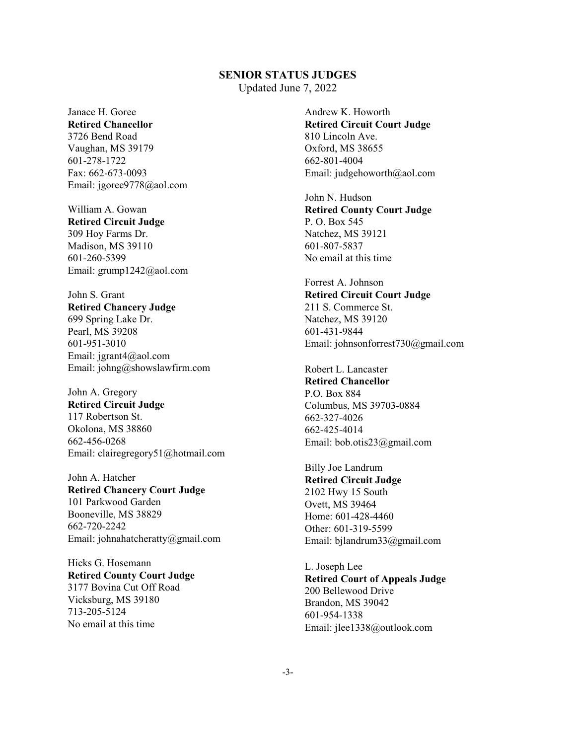Updated June 7, 2022

Janace H. Goree **Retired Chancellor** 3726 Bend Road Vaughan, MS 39179 601-278-1722 Fax: 662-673-0093 Email: jgoree9778@aol.com

William A. Gowan **Retired Circuit Judge** 309 Hoy Farms Dr. Madison, MS 39110 601-260-5399 Email: grump1242@aol.com

John S. Grant **Retired Chancery Judge** 699 Spring Lake Dr. Pearl, MS 39208 601-951-3010 Email: jgrant4@aol.com Email: johng@showslawfirm.com

John A. Gregory **Retired Circuit Judge** 117 Robertson St. Okolona, MS 38860 662-456-0268 Email: clairegregory51@hotmail.com

John A. Hatcher **Retired Chancery Court Judge** 101 Parkwood Garden Booneville, MS 38829 662-720-2242 Email: johnahatcheratty@gmail.com

Hicks G. Hosemann **Retired County Court Judge** 3177 Bovina Cut Off Road Vicksburg, MS 39180 713-205-5124 No email at this time

Andrew K. Howorth **Retired Circuit Court Judge** 810 Lincoln Ave. Oxford, MS 38655 662-801-4004 Email: judgehoworth@aol.com

John N. Hudson **Retired County Court Judge** P. O. Box 545 Natchez, MS 39121 601-807-5837 No email at this time

Forrest A. Johnson **Retired Circuit Court Judge** 211 S. Commerce St. Natchez, MS 39120 601-431-9844 Email: johnsonforrest730@gmail.com

Robert L. Lancaster **Retired Chancellor** P.O. Box 884 Columbus, MS 39703-0884 662-327-4026 662-425-4014 Email: bob.otis23@gmail.com

Billy Joe Landrum **Retired Circuit Judge** 2102 Hwy 15 South Ovett, MS 39464 Home: 601-428-4460 Other: 601-319-5599 Email: bjlandrum33@gmail.com

L. Joseph Lee **Retired Court of Appeals Judge** 200 Bellewood Drive Brandon, MS 39042 601-954-1338 Email: jlee1338@outlook.com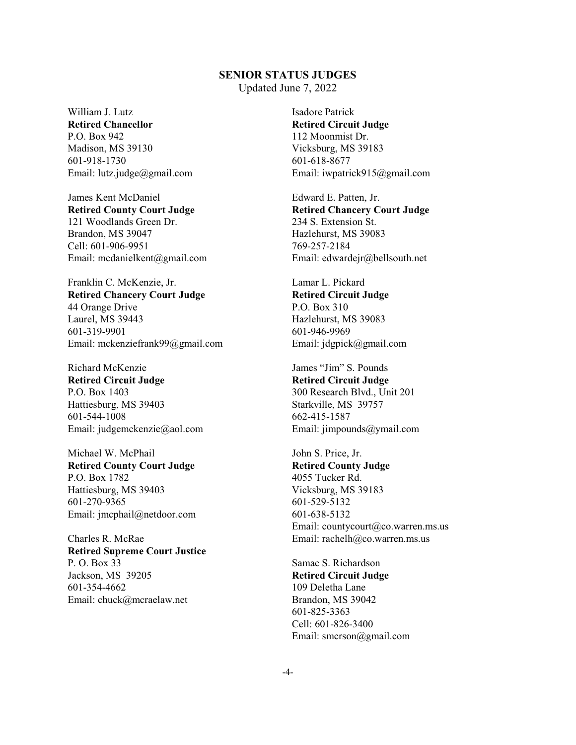Updated June 7, 2022

William J. Lutz **Retired Chancellor** P.O. Box 942 Madison, MS 39130 601-918-1730 Email: lutz.judge@gmail.com

James Kent McDaniel **Retired County Court Judge** 121 Woodlands Green Dr. Brandon, MS 39047 Cell: 601-906-9951 Email: mcdanielkent@gmail.com

Franklin C. McKenzie, Jr. **Retired Chancery Court Judge** 44 Orange Drive Laurel, MS 39443 601-319-9901 Email: mckenziefrank99@gmail.com

Richard McKenzie **Retired Circuit Judge** P.O. Box 1403 Hattiesburg, MS 39403 601-544-1008 Email: judgemckenzie@aol.com

Michael W. McPhail **Retired County Court Judge** P.O. Box 1782 Hattiesburg, MS 39403 601-270-9365 Email: jmcphail@netdoor.com

Charles R. McRae **Retired Supreme Court Justice** P. O. Box 33 Jackson, MS 39205 601-354-4662 Email: chuck@mcraelaw.net

Isadore Patrick **Retired Circuit Judge** 112 Moonmist Dr. Vicksburg, MS 39183 601-618-8677 Email: iwpatrick915@gmail.com

Edward E. Patten, Jr. **Retired Chancery Court Judge** 234 S. Extension St. Hazlehurst, MS 39083 769-257-2184 Email: edwardejr@bellsouth.net

Lamar L. Pickard **Retired Circuit Judge** P.O. Box 310 Hazlehurst, MS 39083 601-946-9969 Email: jdgpick@gmail.com

James "Jim" S. Pounds **Retired Circuit Judge** 300 Research Blvd., Unit 201 Starkville, MS 39757 662-415-1587 Email: jimpounds@ymail.com

John S. Price, Jr. **Retired County Judge** 4055 Tucker Rd. Vicksburg, MS 39183 601-529-5132 601-638-5132 Email: countycourt@co.warren.ms.us Email: rachelh@co.warren.ms.us

Samac S. Richardson **Retired Circuit Judge** 109 Deletha Lane Brandon, MS 39042 601-825-3363 Cell: 601-826-3400 Email: smcrson@gmail.com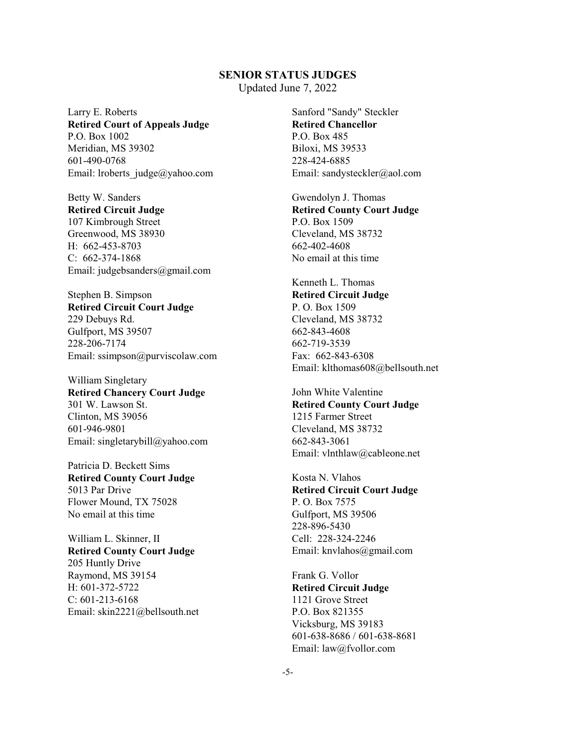Updated June 7, 2022

Larry E. Roberts **Retired Court of Appeals Judge** P.O. Box 1002 Meridian, MS 39302 601-490-0768 Email: lroberts\_judge@yahoo.com

Betty W. Sanders **Retired Circuit Judge** 107 Kimbrough Street Greenwood, MS 38930 H: 662-453-8703 C: 662-374-1868 Email: judgebsanders@gmail.com

Stephen B. Simpson **Retired Circuit Court Judge** 229 Debuys Rd. Gulfport, MS 39507 228-206-7174 Email: ssimpson@purviscolaw.com

William Singletary **Retired Chancery Court Judge** 301 W. Lawson St. Clinton, MS 39056 601-946-9801 Email: singletarybill@yahoo.com

Patricia D. Beckett Sims **Retired County Court Judge** 5013 Par Drive Flower Mound, TX 75028 No email at this time

William L. Skinner, II **Retired County Court Judge** 205 Huntly Drive Raymond, MS 39154 H: 601-372-5722 C: 601-213-6168 Email: skin2221@bellsouth.net Sanford "Sandy" Steckler **Retired Chancellor** P.O. Box 485 Biloxi, MS 39533 228-424-6885 Email: sandysteckler@aol.com

Gwendolyn J. Thomas **Retired County Court Judge** P.O. Box 1509 Cleveland, MS 38732 662-402-4608 No email at this time

Kenneth L. Thomas **Retired Circuit Judge** P. O. Box 1509 Cleveland, MS 38732 662-843-4608 662-719-3539 Fax: 662-843-6308 Email: klthomas608@bellsouth.net

John White Valentine **Retired County Court Judge** 1215 Farmer Street Cleveland, MS 38732 662-843-3061 Email: vlnthlaw@cableone.net

Kosta N. Vlahos **Retired Circuit Court Judge** P. O. Box 7575 Gulfport, MS 39506 228-896-5430 Cell: 228-324-2246 Email: knvlahos@gmail.com

Frank G. Vollor **Retired Circuit Judge** 1121 Grove Street P.O. Box 821355 Vicksburg, MS 39183 601-638-8686 / 601-638-8681 Email: law@fvollor.com